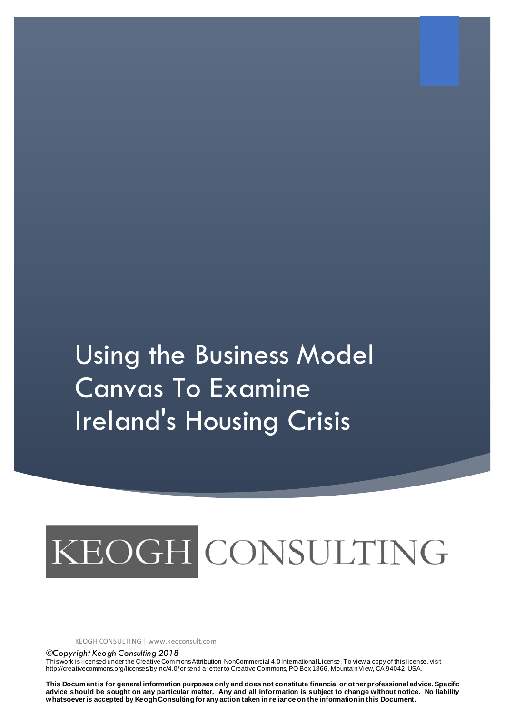## Using the Business Model Canvas To Examine Ireland's Housing Crisis

# KEOGH CONSULTING

KEOGH CONSULTING | www.keoconsult.com

*Copyright Keogh Consulting 2018*

This work is licensed under the Creative Commons Attribution-NonCommercial 4.0 International License. To view a copy of this license, visit http://creativecommons.org/licenses/by-nc/4.0/ or send a letter to Creative Commons, PO Box 1866, Mountain View, CA 94042, USA.

**This Document is for general information purposes only and does not constitute financial or other professional advice. Specific advice should be sought on any particular matter. Any and all information is subject to change without notice. No liability whatsoever is accepted by Keogh Consultingfor any action taken in reliance on the information in this Document.**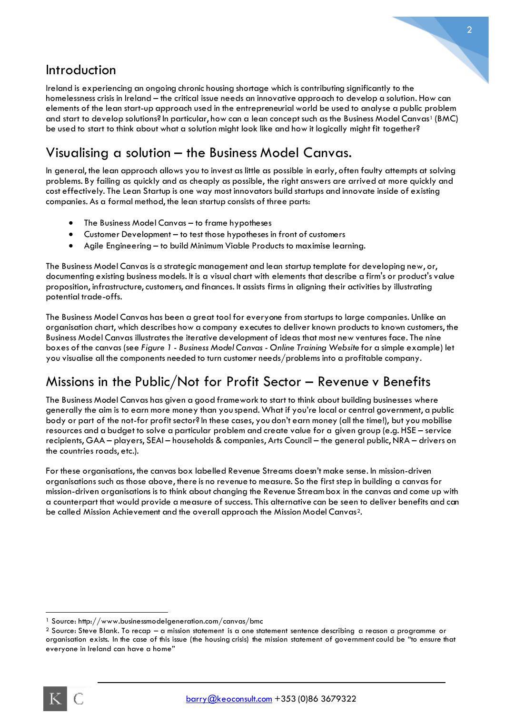## Introduction

Ireland is experiencing an ongoing chronic housing shortage which is contributing significantly to the homelessness crisis in Ireland – the critical issue needs an innovative approach to develop a solution. How can elements of the lean start-up approach used in the entrepreneurial world be used to analyse a public problem and start to develop solutions? In particular, how can a lean concept such as the Business Model Canvas<sup>1</sup> (BMC) be used to start to think about what a solution might look like and how it logically might fit together?

## Visualising a solution – the Business Model Canvas.

In general, the lean approach allows you to invest as little as possible in early, often faulty attempts at solving problems. By failing as quickly and as cheaply as possible, the right answers are arrived at more quickly and cost effectively. The Lean Startup is one way most innovators build startups and innovate inside of existing companies. As a formal method, the lean startup consists of three parts:

- The Business Model Canvas to frame hypotheses
- Customer Development to test those hypotheses in front of customers
- Agile Engineering to build Minimum Viable Products to maximise learning.

The Business Model Canvas is a strategic management and lean startup template for developing new, or, documenting existing business models. It is a visual chart with elements that describe a firm's or product's value proposition, infrastructure, customers, and finances. It assists firms in aligning their activities by illustrating potential trade-offs.

The Business Model Canvas has been a great tool for everyone from startups to large companies. Unlike an organisation chart, which describes how a company executes to deliver known products to known customers, the Business Model Canvas illustrates the iterative development of ideas that most new ventures face. The nine boxes of the canvas (see *Figure 1 - [Business Model Canvas -](#page-2-0) Online Training Website* for a simple example) let you visualise all the components needed to turn customer needs/problems into a profitable company.

## Missions in the Public/Not for Profit Sector – Revenue v Benefits

The Business Model Canvas has given a good framework to start to think about building businesses where generally the aim is to earn more money than you spend. What if you're local or central government, a public body or part of the not-for profit sector? In these cases, you don't earn money (all the time!), but you mobilise resources and a budget to solve a particular problem and create value for a given group (e.g. HSE – service recipients, GAA – players, SEAI – households & companies, Arts Council – the general public, NRA – drivers on the countries roads, etc.).

For these organisations, the canvas box labelled Revenue Streams doesn't make sense. In mission-driven organisations such as those above, there is no revenue to measure. So the first step in building a canvas for mission-driven organisations is to think about changing the Revenue Stream box in the canvas and come up with a counterpart that would provide a measure of success. This alternative can be seen to deliver benefits and can be called Mission Achievement and the overall approach the Mission Model Canvas2.

 $\overline{a}$ 

<sup>1</sup> Source: http://www.businessmodelgeneration.com/canvas/bmc

<sup>&</sup>lt;sup>2</sup> Source: Steve Blank. To recap – a mission statement is a one statement sentence describing a reason a programme or organisation exists. In the case of this issue (the housing crisis) the mission statement of government could be "to ensure that everyone in Ireland can have a home"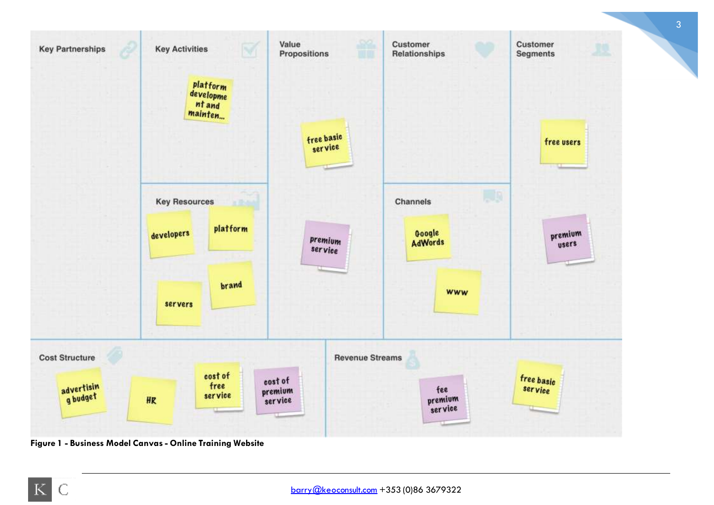

<span id="page-2-0"></span>**Figure 1 - Business Model Canvas - Online Training Website**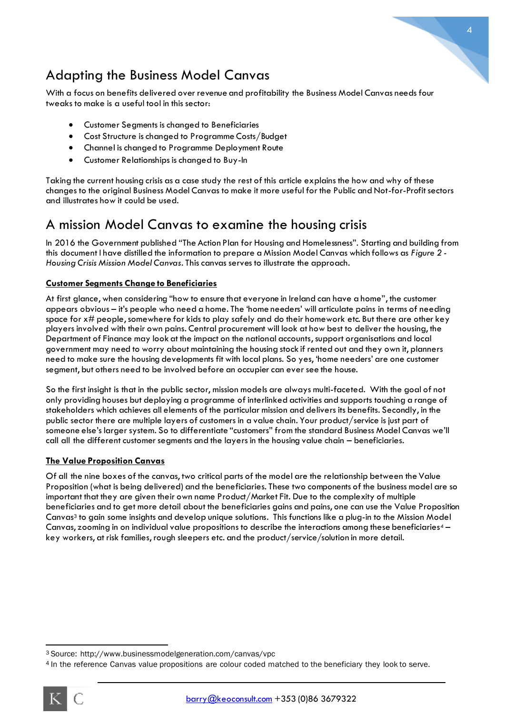

## Adapting the Business Model Canvas

With a focus on benefits delivered over revenue and profitability the Business Model Canvas needs four tweaks to make is a useful tool in this sector:

- Customer Segments is changed to Beneficiaries
- Cost Structure is changed to Programme Costs/Budget
- Channel is changed to Programme Deployment Route
- Customer Relationships is changed to Buy-In

Taking the current housing crisis as a case study the rest of this article explains the how and why of these changes to the original Business Model Canvas to make it more useful for the Public and Not-for-Profit sectors and illustrates how it could be used.

## A mission Model Canvas to examine the housing crisis

In 2016 the Government published "The Action Plan for Housing and Homelessness". Starting and building from this document I have distilled the information to prepare a Mission Model Canvas which follows as *[Figure 2](#page-4-0) - [Housing Crisis Mission Model Canvas](#page-4-0)*. This canvas serves to illustrate the approach.

#### **Customer Segments Change to Beneficiaries**

At first glance, when considering "how to ensure that everyone in Ireland can have a home", the customer appears obvious – it's people who need a home. The 'home needers' will articulate pains in terms of needing space for x# people, somewhere for kids to play safely and do their homework etc. But there are other key players involved with their own pains. Central procurement will look at how best to deliver the housing, the Department of Finance may look at the impact on the national accounts, support organisations and local government may need to worry about maintaining the housing stock if rented out and they own it, planners need to make sure the housing developments fit with local plans. So yes, 'home needers' are one customer segment, but others need to be involved before an occupier can ever see the house.

So the first insight is that in the public sector, mission models are always multi-faceted. With the goal of not only providing houses but deploying a programme of interlinked activities and supports touching a range of stakeholders which achieves all elements of the particular mission and delivers its benefits. Secondly, in the public sector there are multiple layers of customers in a value chain. Your product/service is just part of someone else's larger system. So to differentiate "customers" from the standard Business Model Canvas we'll call all the different customer segments and the layers in the housing value chain – beneficiaries.

#### **The Value Proposition Canvas**

Of all the nine boxes of the canvas, two critical parts of the model are the relationship between the Value Proposition (what is being delivered) and the beneficiaries. These two components of the business model are so important that they are given their own name Product/Market Fit. Due to the complexity of multiple beneficiaries and to get more detail about the beneficiaries gains and pains, one can use the Value Proposition Canvas<sup>3</sup> to gain some insights and develop unique solutions. This functions like a plug-in to the Mission Model Canvas, zooming in on individual value propositions to describe the interactions among these beneficiaries<sup>4</sup> key workers, at risk families, rough sleepers etc. and the product/service/solution in more detail.

<sup>4</sup> In the reference Canvas value propositions are colour coded matched to the beneficiary they look to serve.



 $\overline{a}$ 

<sup>3</sup> Source: http://www.businessmodelgeneration.com/canvas/vpc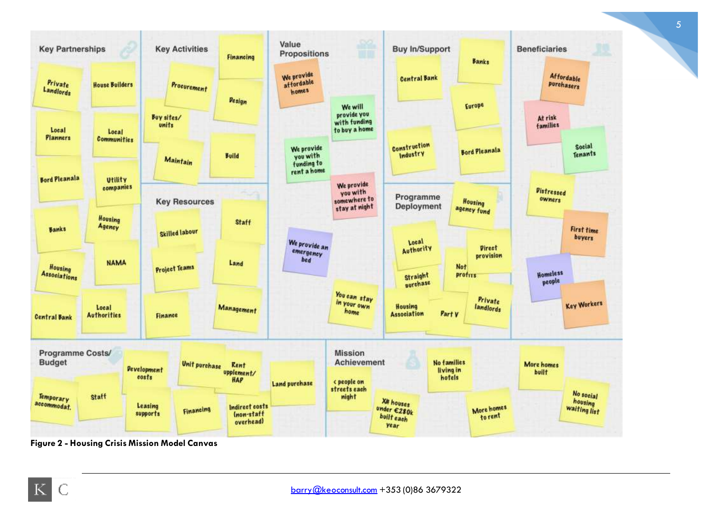

<span id="page-4-0"></span>**Figure 2 - Housing Crisis Mission Model Canvas**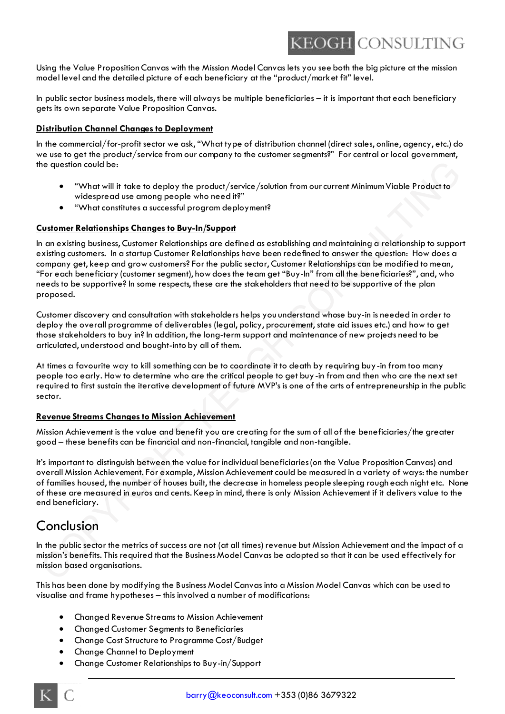## **KEOGH CONSULTING**

Using the Value Proposition Canvas with the Mission Model Canvas lets you see both the big picture at the mission model level and the detailed picture of each beneficiary at the "product/market fit" level.

In public sector business models, there will always be multiple beneficiaries – it is important that each beneficiary gets its own separate Value Proposition Canvas.

#### **Distribution Channel Changes to Deployment**

In the commercial/for-profit sector we ask, "What type of distribution channel (direct sales, online, agency, etc.) do we use to get the product/service from our company to the customer segments?" For central or local government, the question could be:

- "What will it take to deploy the product/service/solution from our current Minimum Viable Product to widespread use among people who need it?"
- "What constitutes a successful program deployment?

#### **Customer Relationships Changes to Buy-In/Support**

In an existing business, Customer Relationships are defined as establishing and maintaining a relationship to support existing customers. In a startup Customer Relationships have been redefined to answer the question: How does a company get, keep and grow customers? For the public sector, Customer Relationships can be modified to mean, "For each beneficiary (customer segment), how does the team get "Buy-In" from all the beneficiaries?", and, who needs to be supportive? In some respects, these are the stakeholders that need to be supportive of the plan proposed.

Customer discovery and consultation with stakeholders helps you understand whose buy-in is needed in order to deploy the overall programme of deliverables (legal, policy, procurement, state aid issues etc.) and how to get those stakeholders to buy in? In addition, the long-term support and maintenance of new projects need to be articulated, understood and bought-into by all of them.

At times a favourite way to kill something can be to coordinate it to death by requiring buy-in from too many people too early. How to determine who are the critical people to get buy-in from and then who are the next set required to first sustain the iterative development of future MVP's is one of the arts of entrepreneurship in the public sector.

#### **Revenue Streams Changes to Mission Achievement**

Mission Achievement is the value and benefit you are creating for the sum of all of the beneficiaries/the greater good – these benefits can be financial and non-financial, tangible and non-tangible.

It's important to distinguish between the value for individual beneficiaries (on the Value Proposition Canvas) and overall Mission Achievement. For example, Mission Achievement could be measured in a variety of ways: the number of families housed, the number of houses built, the decrease in homeless people sleeping rough each night etc. None of these are measured in euros and cents. Keep in mind, there is only Mission Achievement if it delivers value to the end beneficiary.

## Conclusion

In the public sector the metrics of success are not (at all times) revenue but Mission Achievement and the impact of a mission's benefits. This required that the Business Model Canvas be adopted so that it can be used effectively for mission based organisations.

This has been done by modifying the Business Model Canvas into a Mission Model Canvas which can be used to visualise and frame hypotheses – this involved a number of modifications:

- Changed Revenue Streams to Mission Achievement
- Changed Customer Segments to Beneficiaries
- Change Cost Structure to Programme Cost/Budget
- Change Channel to Deployment
- Change Customer Relationships to Buy-in/Support